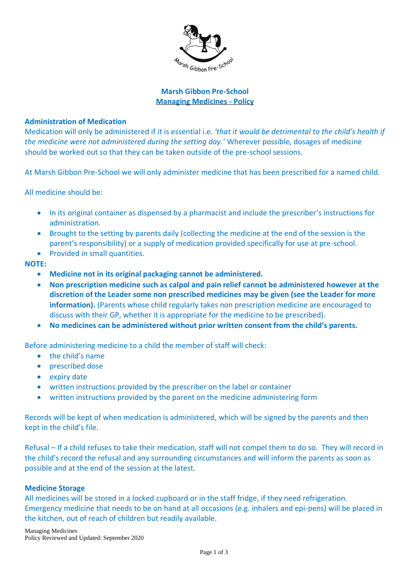

## **Marsh Gibbon Pre-School Managing Medicines - Policy**

## **Administration of Medication**

Medication will only be administered if it is essential i.e. *'that it would be detrimental to the child's health if the medicine were not administered during the setting day.'* Wherever possible, dosages of medicine should be worked out so that they can be taken outside of the pre-school sessions.

At Marsh Gibbon Pre-School we will only administer medicine that has been prescribed for a named child.

All medicine should be:

- In its original container as dispensed by a pharmacist and include the prescriber's instructions for administration.
- Brought to the setting by parents daily (collecting the medicine at the end of the session is the parent's responsibility) or a supply of medication provided specifically for use at pre-school.
- Provided in small quantities.

## **NOTE:**

- **Medicine not in its original packaging cannot be administered.**
- **Non prescription medicine such as calpol and pain relief cannot be administered however at the discretion of the Leader some non prescribed medicines may be given (see the Leader for more information).** (Parents whose child regularly takes non prescription medicine are encouraged to discuss with their GP, whether it is appropriate for the medicine to be prescribed).
- **No medicines can be administered without prior written consent from the child's parents.**

Before administering medicine to a child the member of staff will check:

- the child's name
- prescribed dose
- expiry date
- written instructions provided by the prescriber on the label or container
- written instructions provided by the parent on the medicine administering form

Records will be kept of when medication is administered, which will be signed by the parents and then kept in the child's file.

Refusal – If a child refuses to take their medication, staff will not compel them to do so. They will record in the child's record the refusal and any surrounding circumstances and will inform the parents as soon as possible and at the end of the session at the latest.

## **Medicine Storage**

All medicines will be stored in a locked cupboard or in the staff fridge, if they need refrigeration. Emergency medicine that needs to be on hand at all occasions (e.g. inhalers and epi-pens) will be placed in the kitchen, out of reach of children but readily available.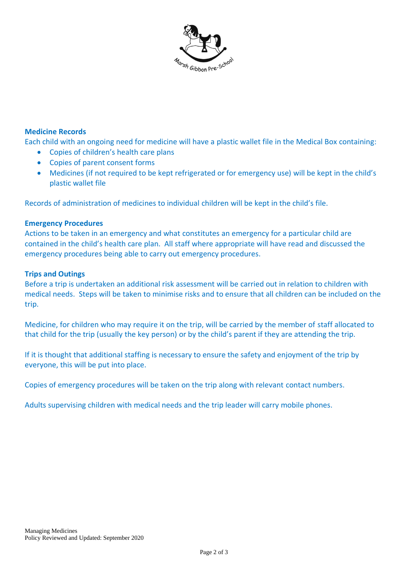

# **Medicine Records**

Each child with an ongoing need for medicine will have a plastic wallet file in the Medical Box containing:

- Copies of children's health care plans
- Copies of parent consent forms
- Medicines (if not required to be kept refrigerated or for emergency use) will be kept in the child's plastic wallet file

Records of administration of medicines to individual children will be kept in the child's file.

#### **Emergency Procedures**

Actions to be taken in an emergency and what constitutes an emergency for a particular child are contained in the child's health care plan. All staff where appropriate will have read and discussed the emergency procedures being able to carry out emergency procedures.

#### **Trips and Outings**

Before a trip is undertaken an additional risk assessment will be carried out in relation to children with medical needs. Steps will be taken to minimise risks and to ensure that all children can be included on the trip.

Medicine, for children who may require it on the trip, will be carried by the member of staff allocated to that child for the trip (usually the key person) or by the child's parent if they are attending the trip.

If it is thought that additional staffing is necessary to ensure the safety and enjoyment of the trip by everyone, this will be put into place.

Copies of emergency procedures will be taken on the trip along with relevant contact numbers.

Adults supervising children with medical needs and the trip leader will carry mobile phones.